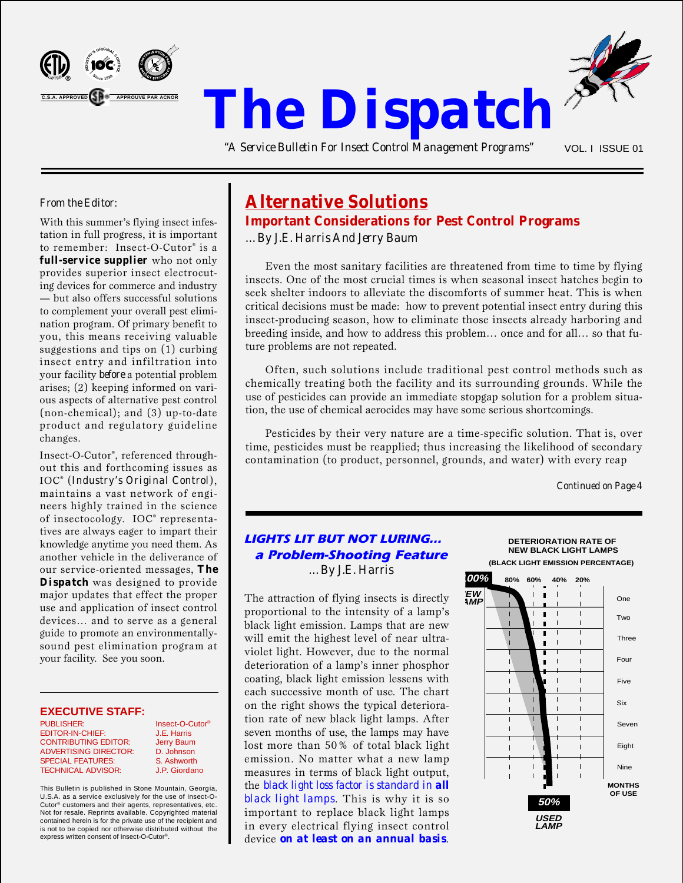



*"A Service Bulletin For Insect Control Management Programs"*

VOL. I ISSUE 01

## *From the Editor:*

With this summer's flying insect infestation in full progress, it is important to remember: Insect-O-Cutor® is a **full-service supplier** who not only provides superior insect electrocuting devices for commerce and industry — but also offers successful solutions to complement your overall pest elimination program. Of primary benefit to you, this means receiving valuable suggestions and tips on (1) curbing insect entry and infiltration into your facility *before* a potential problem arises; (2) keeping informed on various aspects of alternative pest control (non-chemical); and (3) up-to-date product and regulatory guideline changes.

Insect-O-Cutor® , referenced throughout this and forthcoming issues as IOC® (*Industry's Original Control*), maintains a vast network of engineers highly trained in the science of insectocology. IOC® representatives are always eager to impart their knowledge anytime you need them. As another vehicle in the deliverance of our service-oriented messages, *The Dispatch* was designed to provide major updates that effect the proper use and application of insect control devices… and to serve as a general guide to promote an environmentallysound pest elimination program at your facility. See you soon.

## **EXECUTIVE STAFF:**

PUBLISHER: Insect-O-Cutor® EDITOR-IN-CHIEF: J.E. Harris<br>CONTRIBUTING EDITOR: Jerry Baum CONTRIBUTING EDITOR: Jerry Baum<br>ADVERTISING DIRECTOR: D. Johnson **ADVERTISING DIRECTOR:** SPECIAL FEATURES: S. Ashworth<br>TECHNICAL ADVISOR: J.P. Giordano **TECHNICAL ADVISOR:** 

This Bulletin is published in Stone Mountain, Georgia, U.S.A. as a service exclusively for the use of Insect-O-Cutor® customers and their agents, representatives, etc. Not for resale. Reprints available. Copyrighted material contained herein is for the private use of the recipient and is not to be copied nor otherwise distributed without the express written consent of Insect-O-Cutor®.

# **Alternative Solutions**

# **Important Considerations for Pest Control Programs**

*…By J.E. Harris And Jerry Baum*

Even the most sanitary facilities are threatened from time to time by flying insects. One of the most crucial times is when seasonal insect hatches begin to seek shelter indoors to alleviate the discomforts of summer heat. This is when critical decisions must be made: how to prevent potential insect entry during this insect-producing season, how to eliminate those insects already harboring and breeding inside, and how to address this problem… once and for all… so that future problems are not repeated.

Often, such solutions include traditional pest control methods such as chemically treating both the facility and its surrounding grounds. While the use of pesticides can provide an immediate stopgap solution for a problem situation, the use of chemical aerocides may have some serious shortcomings.

Pesticides by their very nature are a time-specific solution. That is, over time, pesticides must be reapplied; thus increasing the likelihood of secondary contamination (to product, personnel, grounds, and water) with every reap

*Continued on Page 4*

# *LIGHTS LIT BUT NOT LURING… a Problem-Shooting Feature …By J.E. Harris*

The attraction of flying insects is directly proportional to the intensity of a lamp's black light emission. Lamps that are new will emit the highest level of near ultraviolet light. However, due to the normal deterioration of a lamp's inner phosphor coating, black light emission lessens with each successive month of use. The chart on the right shows the typical deterioration rate of new black light lamps. After seven months of use, the lamps may have lost more than 50% of total black light emission. No matter what a new lamp measures in terms of black light output, the *black light loss factor is standard in all black light lamps*. This is why it is so important to replace black light lamps in every electrical flying insect control device *on at least on an annual basis*.



**DETERIORATION RATE OF**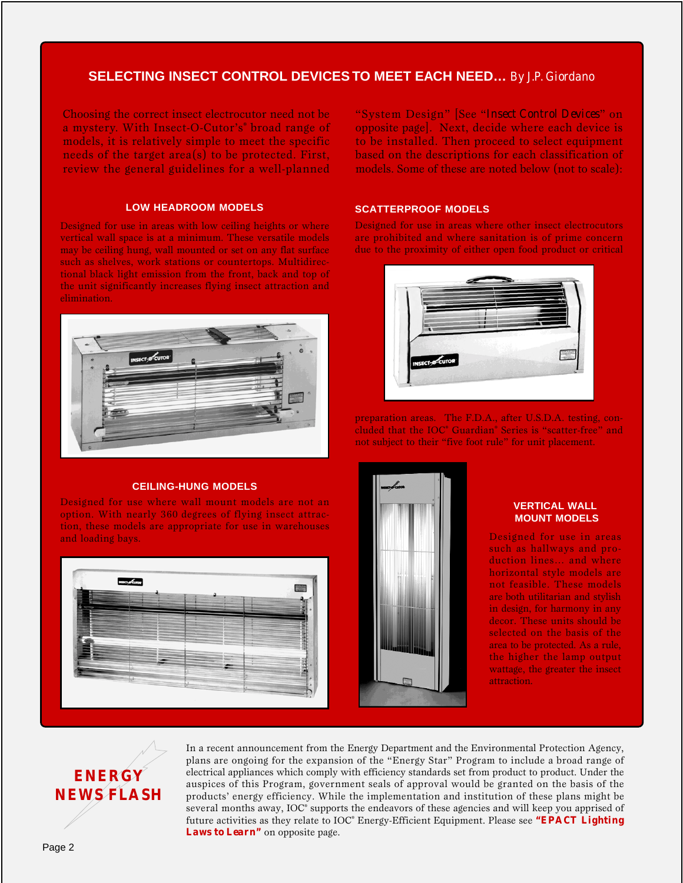# **SELECTING INSECT CONTROL DEVICES TO MEET EACH NEED…** *By J.P. Giordano*

Choosing the correct insect electrocutor need not be a mystery. With Insect-O-Cutor's® broad range of models, it is relatively simple to meet the specific needs of the target area(s) to be protected. First, review the general guidelines for a well-planned

### **LOW HEADROOM MODELS**

Designed for use in areas with low ceiling heights or where vertical wall space is at a minimum. These versatile models may be ceiling hung, wall mounted or set on any flat surface such as shelves, work stations or countertops. Multidirectional black light emission from the front, back and top of the unit significantly increases flying insect attraction and elimination.



#### **CEILING-HUNG MODELS**

Designed for use where wall mount models are not an option. With nearly 360 degrees of flying insect attraction, these models are appropriate for use in warehouses and loading bays.



"System Design" [See "*Insect Control Devices*" on opposite page]. Next, decide where each device is to be installed. Then proceed to select equipment based on the descriptions for each classification of models. Some of these are noted below (not to scale):

### **SCATTERPROOF MODELS**

Designed for use in areas where other insect electrocutors are prohibited and where sanitation is of prime concern due to the proximity of either open food product or critical



preparation areas. The F.D.A., after U.S.D.A. testing, concluded that the IOC® Guardian® Series is "scatter-free" and not subject to their "five foot rule" for unit placement.



#### **VERTICAL WALL MOUNT MODELS**

Designed for use in areas such as hallways and production lines… and where horizontal style models are not feasible. These models are both utilitarian and stylish in design, for harmony in any decor. These units should be selected on the basis of the area to be protected. As a rule, the higher the lamp output wattage, the greater the insect attraction.



In a recent announcement from the Energy Department and the Environmental Protection Agency, plans are ongoing for the expansion of the "Energy Star" Program to include a broad range of electrical appliances which comply with efficiency standards set from product to product. Under the auspices of this Program, government seals of approval would be granted on the basis of the products' energy efficiency. While the implementation and institution of these plans might be several months away, IOC® supports the endeavors of these agencies and will keep you apprised of future activities as they relate to IOC® Energy-Efficient Equipment. Please see *"EPACT Lighting Laws to Learn"* on opposite page.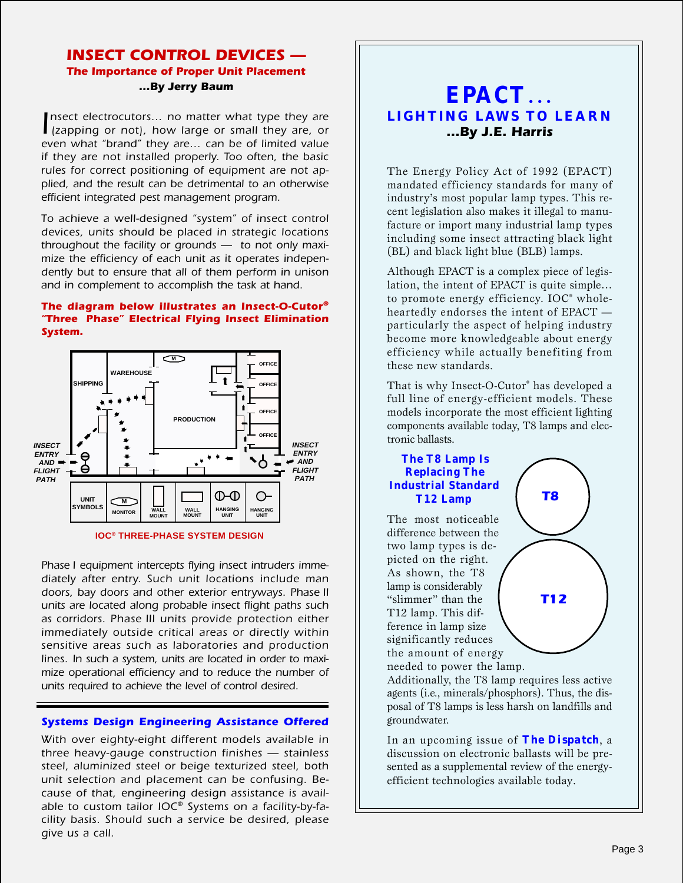# *INSECT CONTROL DEVICES — The Importance of Proper Unit Placement …By Jerry Baum*

Insect electrocutors... no matter what type they are<br>
(zapping or not), how large or small they are, or (zapping or not), how large or small they are, or even what "brand" they are… can be of limited value if they are not installed properly. Too often, the basic rules for correct positioning of equipment are not applied, and the result can be detrimental to an otherwise efficient integrated pest management program.

To achieve a well-designed "system" of insect control devices, units should be placed in strategic locations throughout the facility or grounds — to not only maximize the efficiency of each unit as it operates independently but to ensure that all of them perform in unison and in complement to accomplish the task at hand.

## *The diagram below illustrates an Insect-O-Cutor® "Three Phase" Electrical Flying Insect Elimination System.*





Phase I equipment intercepts flying insect intruders immediately after entry. Such unit locations include man doors, bay doors and other exterior entryways. Phase II units are located along probable insect flight paths such as corridors. Phase III units provide protection either immediately outside critical areas or directly within sensitive areas such as laboratories and production lines. In such a system, units are located in order to maximize operational efficiency and to reduce the number of units required to achieve the level of control desired.

## *Systems Design Engineering Assistance Offered*

With over eighty-eight different models available in three heavy-gauge construction finishes — stainless steel, aluminized steel or beige texturized steel, both unit selection and placement can be confusing. Because of that, engineering design assistance is available to custom tailor IOC® Systems on a facility-by-facility basis. Should such a service be desired, please give us a call.

# **EPACT**… **LIGHTING LAWS TO LEARN** *…By J.E. Harris*

The Energy Policy Act of 1992 (EPACT) mandated efficiency standards for many of industry's most popular lamp types. This recent legislation also makes it illegal to manufacture or import many industrial lamp types including some insect attracting black light (BL) and black light blue (BLB) lamps.

Although EPACT is a complex piece of legislation, the intent of EPACT is quite simple… to promote energy efficiency. IOC® wholeheartedly endorses the intent of EPACT particularly the aspect of helping industry become more knowledgeable about energy efficiency while actually benefiting from these new standards.

That is why Insect-O-Cutor® has developed a full line of energy-efficient models. These models incorporate the most efficient lighting components available today, T8 lamps and electronic ballasts.

### **The T8 Lamp Is Replacing The Industrial Standard T12 Lamp**

The most noticeable difference between the two lamp types is depicted on the right. As shown, the T8 lamp is considerably "slimmer" than the T12 lamp. This difference in lamp size significantly reduces the amount of energy needed to power the lamp.



Additionally, the T8 lamp requires less active agents (i.e., minerals/phosphors). Thus, the disposal of T8 lamps is less harsh on landfills and groundwater.

In an upcoming issue of *The Dispatch*, a discussion on electronic ballasts will be presented as a supplemental review of the energyefficient technologies available today.